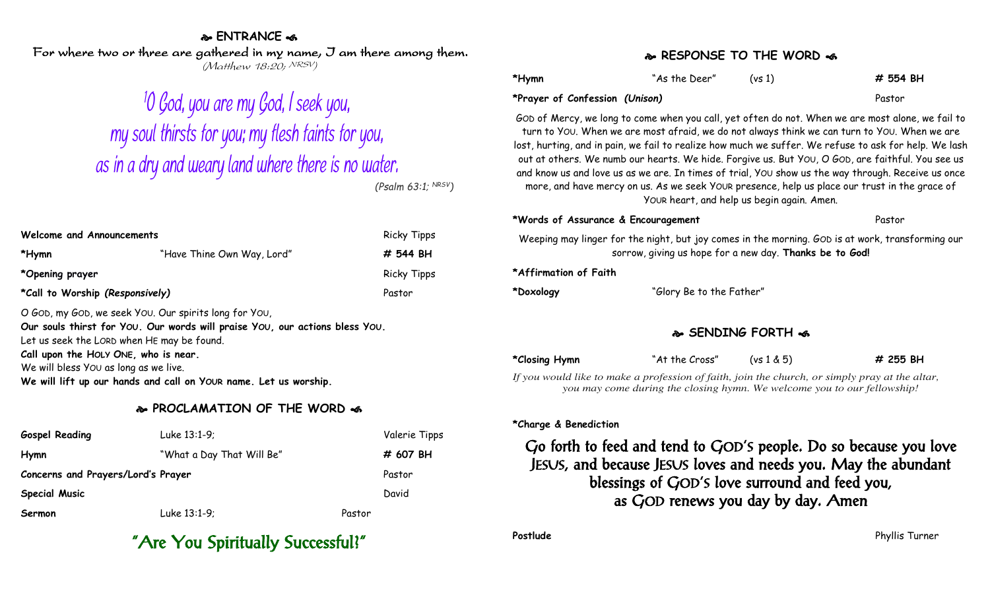#### **ENTRANCE**

For where two or three are gathered in my name, I am there among them. (Matthew 18:20; NRSV)

# <sup>1</sup>0 God, you are my God, I seek you, my soul thirsts for you; my flesh faints for you, as in a dry and weary land where there is no water.

*(Psalm 63:1; NRSV)*

| Welcome and Announcements                                                                                                                              |                            | <b>Ricky Tipps</b> |
|--------------------------------------------------------------------------------------------------------------------------------------------------------|----------------------------|--------------------|
| *Hymn                                                                                                                                                  | "Have Thine Own Way, Lord" | # 544 BH           |
| *Opening prayer                                                                                                                                        |                            | <b>Ricky Tipps</b> |
| *Call to Worship (Responsively)                                                                                                                        |                            | Pastor             |
| $\overline{a}$ , $\overline{a}$ , $\overline{a}$ , $\overline{a}$ , $\overline{a}$ , $\overline{a}$ , $\overline{a}$ , $\overline{a}$ , $\overline{a}$ |                            |                    |

O GOD, my GOD, we seek YOU. Our spirits long for YOU, **Our souls thirst for YOU. Our words will praise YOU, our actions bless YOU.** Let us seek the LORD when HE may be found. **Call upon the HOLY ONE, who is near.** We will bless YOU as long as we live. **We will lift up our hands and call on YOUR name. Let us worship.**

#### **PROCLAMATION OF THE WORD**

| <b>Gospel Reading</b>              | Luke 13:1-9;              |        | Valerie Tipps |
|------------------------------------|---------------------------|--------|---------------|
| Hymn                               | "What a Day That Will Be" |        | # 607 BH      |
| Concerns and Prayers/Lord's Prayer |                           |        | Pastor        |
| <b>Special Music</b>               |                           |        | David         |
| Sermon                             | Luke 13:1-9;              | Pastor |               |

## "Are You Spiritually Successful?"

#### **RESPONSE TO THE WORD**

| *Hymn                          | "As the Deer" | (vs1) | # 554 BH |
|--------------------------------|---------------|-------|----------|
| *Prayer of Confession (Unison) |               |       | Pastor   |

GOD of Mercy, we long to come when you call, yet often do not. When we are most alone, we fail to turn to YOU. When we are most afraid, we do not always think we can turn to YOU. When we are lost, hurting, and in pain, we fail to realize how much we suffer. We refuse to ask for help. We lash out at others. We numb our hearts. We hide. Forgive us. But YOU, O GOD, are faithful. You see us and know us and love us as we are. In times of trial, YOU show us the way through. Receive us once more, and have mercy on us. As we seek YOUR presence, help us place our trust in the grace of YOUR heart, and help us begin again. Amen.

#### **\*Words of Assurance & Encouragement** Pastor

Weeping may linger for the night, but joy comes in the morning. GOD is at work, transforming our sorrow, giving us hope for a new day. **Thanks be to God!**

#### **\*Affirmation of Faith**

**\*Doxology** "Glory Be to the Father"

#### **SENDING FORTH**

**\*Closing Hymn** "At the Cross" (vs 1 & 5) **# 255 BH**

*If you would like to make a profession of faith, join the church, or simply pray at the altar, you may come during the closing hymn. We welcome you to our fellowship!*

#### **\*Charge & Benediction**

Go forth to feed and tend to GOD'S people. Do so because you love JESUS, and because JESUS loves and needs you. May the abundant blessings of GOD'S love surround and feed you, as GOD renews you day by day. Amen

**Postlude** Phyllis Turner